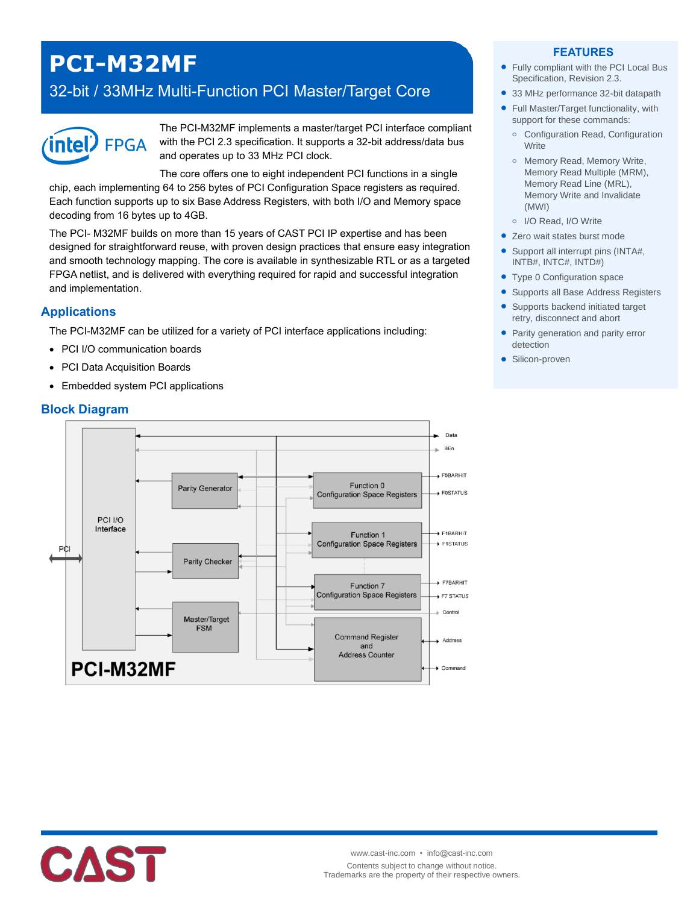# **PCI-M32MF**

# 32-bit / 33MHz Multi-Function PCI Master/Target Core



The PCI-M32MF implements a master/target PCI interface compliant with the PCI 2.3 specification. It supports a 32-bit address/data bus and operates up to 33 MHz PCI clock.

The core offers one to eight independent PCI functions in a single chip, each implementing 64 to 256 bytes of PCI Configuration Space registers as required. Each function supports up to six Base Address Registers, with both I/O and Memory space decoding from 16 bytes up to 4GB.

The PCI- M32MF builds on more than 15 years of CAST PCI IP expertise and has been designed for straightforward reuse, with proven design practices that ensure easy integration and smooth technology mapping. The core is available in synthesizable RTL or as a targeted FPGA netlist, and is delivered with everything required for rapid and successful integration and implementation.

#### **Applications**

The PCI-M32MF can be utilized for a variety of PCI interface applications including:

- PCI I/O communication boards
- PCI Data Acquisition Boards
- Embedded system PCI applications

#### **Block Diagram**



#### **FEATURES**

- Fully compliant with the PCI Local Bus Specification, Revision 2.3.
- 33 MHz performance 32-bit datapath
- Full Master/Target functionality, with support for these commands:
	- **o** Configuration Read, Configuration **Write**
	- **o** Memory Read, Memory Write, Memory Read Multiple (MRM), Memory Read Line (MRL), Memory Write and Invalidate (MWI)
- **o** I/O Read, I/O Write
- Zero wait states burst mode
- Support all interrupt pins (INTA#, INTB#, INTC#, INTD#)
- Type 0 Configuration space
- **Supports all Base Address Registers**
- Supports backend initiated target retry, disconnect and abort
- Parity generation and parity error detection
- **·** Silicon-proven